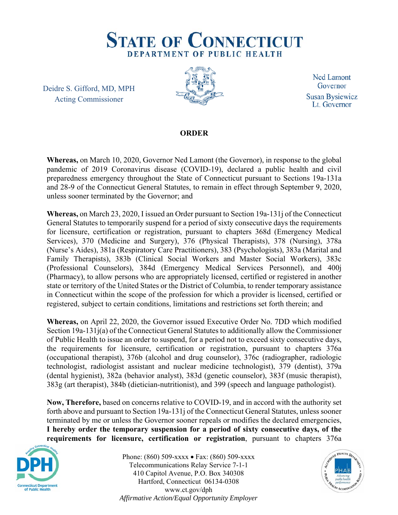

Deidre S. Gifford, MD, MPH Acting Commissioner



**Ned Lamont** Governor **Susan Bysiewicz** Lt. Governor

## **ORDER**

**Whereas,** on March 10, 2020, Governor Ned Lamont (the Governor), in response to the global pandemic of 2019 Coronavirus disease (COVID-19), declared a public health and civil preparedness emergency throughout the State of Connecticut pursuant to Sections 19a-131a and 28-9 of the Connecticut General Statutes, to remain in effect through September 9, 2020, unless sooner terminated by the Governor; and

**Whereas,** on March 23, 2020, I issued an Order pursuant to Section 19a-131j of the Connecticut General Statutes to temporarily suspend for a period of sixty consecutive days the requirements for licensure, certification or registration, pursuant to chapters 368d (Emergency Medical Services), 370 (Medicine and Surgery), 376 (Physical Therapists), 378 (Nursing), 378a (Nurse's Aides), 381a (Respiratory Care Practitioners), 383 (Psychologists), 383a (Marital and Family Therapists), 383b (Clinical Social Workers and Master Social Workers), 383c (Professional Counselors), 384d (Emergency Medical Services Personnel), and 400j (Pharmacy), to allow persons who are appropriately licensed, certified or registered in another state or territory of the United States or the District of Columbia, to render temporary assistance in Connecticut within the scope of the profession for which a provider is licensed, certified or registered, subject to certain conditions, limitations and restrictions set forth therein; and

**Whereas,** on April 22, 2020, the Governor issued Executive Order No. 7DD which modified Section 19a-131j(a) of the Connecticut General Statutes to additionally allow the Commissioner of Public Health to issue an order to suspend, for a period not to exceed sixty consecutive days, the requirements for licensure, certification or registration, pursuant to chapters 376a (occupational therapist), 376b (alcohol and drug counselor), 376c (radiographer, radiologic technologist, radiologist assistant and nuclear medicine technologist), 379 (dentist), 379a (dental hygienist), 382a (behavior analyst), 383d (genetic counselor), 383f (music therapist), 383g (art therapist), 384b (dietician-nutritionist), and 399 (speech and language pathologist).

**Now, Therefore,** based on concerns relative to COVID-19, and in accord with the authority set forth above and pursuant to Section 19a-131j of the Connecticut General Statutes, unless sooner terminated by me or unless the Governor sooner repeals or modifies the declared emergencies, **I hereby order the temporary suspension for a period of sixty consecutive days, of the requirements for licensure, certification or registration**, pursuant to chapters 376a



Phone: (860) 509-xxxx  $\bullet$  Fax: (860) 509-xxxx Telecommunications Relay Service 7-1-1 410 Capitol Avenue, P.O. Box 340308 Hartford, Connecticut 06134-0308 www.ct.gov/dph *Affirmative Action/Equal Opportunity Employer*